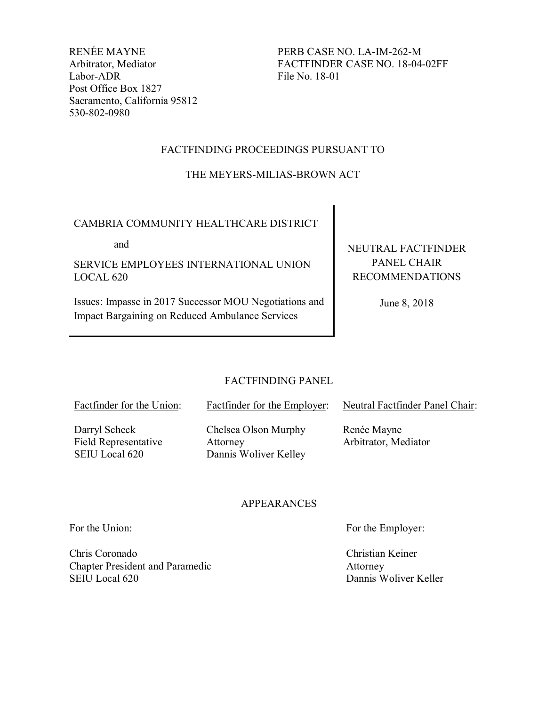RENÉE MAYNE Arbitrator, Mediator Labor-ADR Post Office Box 1827 Sacramento, California 95812 530-802-0980

PERB CASE NO. LA-IM-262-M FACTFINDER CASE NO. 18-04-02FF File No. 18-01

# FACTFINDING PROCEEDINGS PURSUANT TO

# THE MEYERS-MILIAS-BROWN ACT

# CAMBRIA COMMUNITY HEALTHCARE DISTRICT

and

SERVICE EMPLOYEES INTERNATIONAL UNION LOCAL 620

Issues: Impasse in 2017 Successor MOU Negotiations and Impact Bargaining on Reduced Ambulance Services

NEUTRAL FACTFINDER PANEL CHAIR RECOMMENDATIONS

June 8, 2018

Neutral Factfinder Panel Chair:

# FACTFINDING PANEL

Factfinder for the Employer:

Factfinder for the Union:

Darryl Scheck Field Representative SEIU Local 620

Chelsea Olson Murphy Attorney Dannis Woliver Kelley

Renée Mayne Arbitrator, Mediator

## APPEARANCES

Chris Coronado Chapter President and Paramedic SEIU Local 620

For the Union: For the Employer:

Christian Keiner Attorney Dannis Woliver Keller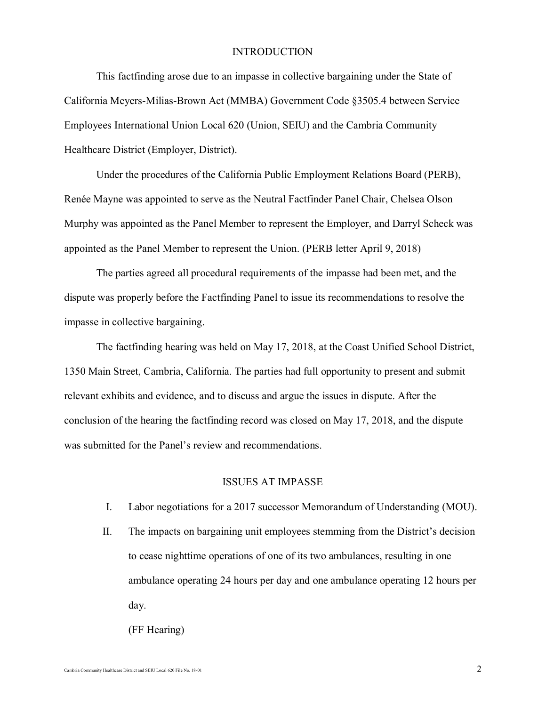## **INTRODUCTION**

This factfinding arose due to an impasse in collective bargaining under the State of California Meyers-Milias-Brown Act (MMBA) Government Code §3505.4 between Service Employees International Union Local 620 (Union, SEIU) and the Cambria Community Healthcare District (Employer, District).

Under the procedures of the California Public Employment Relations Board (PERB), Renée Mayne was appointed to serve as the Neutral Factfinder Panel Chair, Chelsea Olson Murphy was appointed as the Panel Member to represent the Employer, and Darryl Scheck was appointed as the Panel Member to represent the Union. (PERB letter April 9, 2018)

The parties agreed all procedural requirements of the impasse had been met, and the dispute was properly before the Factfinding Panel to issue its recommendations to resolve the impasse in collective bargaining.

The factfinding hearing was held on May 17, 2018, at the Coast Unified School District, 1350 Main Street, Cambria, California. The parties had full opportunity to present and submit relevant exhibits and evidence, and to discuss and argue the issues in dispute. After the conclusion of the hearing the factfinding record was closed on May 17, 2018, and the dispute was submitted for the Panel's review and recommendations.

# ISSUES AT IMPASSE

- I. Labor negotiations for a 2017 successor Memorandum of Understanding (MOU).
- II. The impacts on bargaining unit employees stemming from the District's decision to cease nighttime operations of one of its two ambulances, resulting in one ambulance operating 24 hours per day and one ambulance operating 12 hours per day.

(FF Hearing)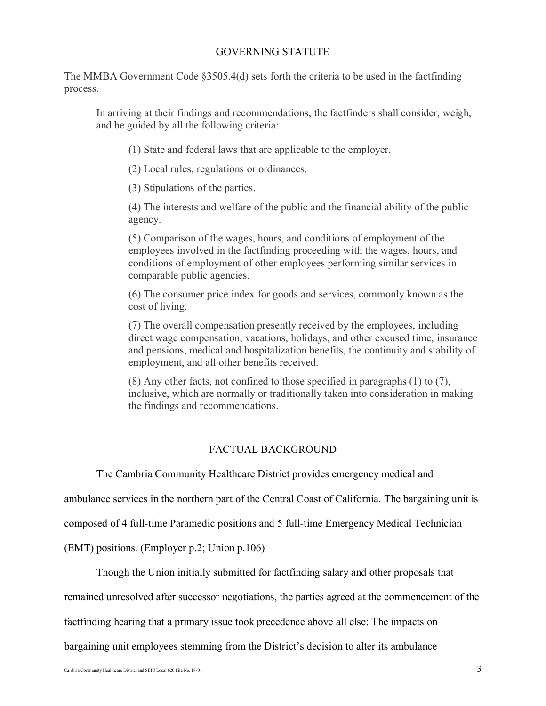# GOVERNING STATUTE

The MMBA Government Code §3505.4(d) sets forth the criteria to be used in the factfinding process.

In arriving at their findings and recommendations, the factfinders shall consider, weigh, and be guided by all the following criteria:

(1) State and federal laws that are applicable to the employer.

(2) Local rules, regulations or ordinances.

(3) Stipulations of the parties.

(4) The interests and welfare of the public and the financial ability of the public agency.

(5) Comparison of the wages, hours, and conditions of employment of the employees involved in the factfinding proceeding with the wages, hours, and conditions of employment of other employees performing similar services in comparable public agencies.

(6) The consumer price index for goods and services, commonly known as the cost of living.

(7) The overall compensation presently received by the employees, including direct wage compensation, vacations, holidays, and other excused time, insurance and pensions, medical and hospitalization benefits, the continuity and stability of employment, and all other benefits received.

(8) Any other facts, not confined to those specified in paragraphs (1) to (7), inclusive, which are normally or traditionally taken into consideration in making the findings and recommendations.

## FACTUAL BACKGROUND

The Cambria Community Healthcare District provides emergency medical and

ambulance services in the northern part of the Central Coast of California. The bargaining unit is

composed of 4 full-time Paramedic positions and 5 full-time Emergency Medical Technician

(EMT) positions. (Employer p.2; Union p.106)

Though the Union initially submitted for factfinding salary and other proposals that

remained unresolved after successor negotiations, the parties agreed at the commencement of the

factfinding hearing that a primary issue took precedence above all else: The impacts on

bargaining unit employees stemming from the District's decision to alter its ambulance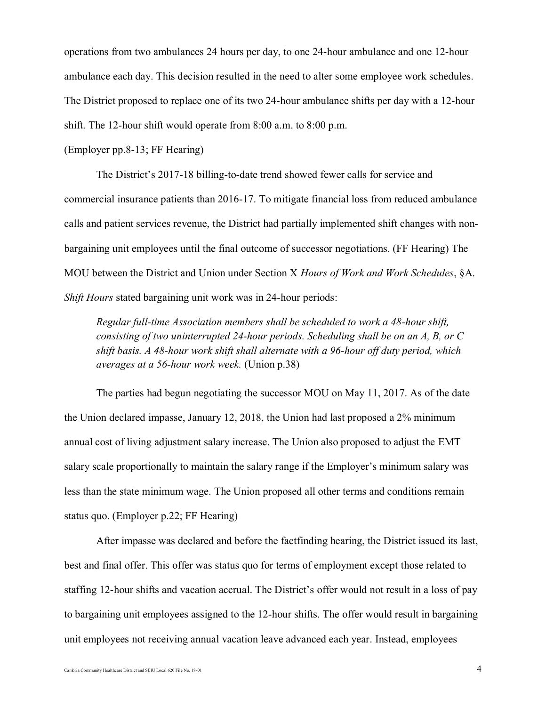operations from two ambulances 24 hours per day, to one 24-hour ambulance and one 12-hour ambulance each day. This decision resulted in the need to alter some employee work schedules. The District proposed to replace one of its two 24-hour ambulance shifts per day with a 12-hour shift. The 12-hour shift would operate from 8:00 a.m. to 8:00 p.m.

(Employer pp.8-13; FF Hearing)

The District's 2017-18 billing-to-date trend showed fewer calls for service and commercial insurance patients than 2016-17. To mitigate financial loss from reduced ambulance calls and patient services revenue, the District had partially implemented shift changes with nonbargaining unit employees until the final outcome of successor negotiations. (FF Hearing) The MOU between the District and Union under Section X *Hours of Work and Work Schedules*, §A. *Shift Hours* stated bargaining unit work was in 24-hour periods:

*Regular full-time Association members shall be scheduled to work a 48-hour shift, consisting of two uninterrupted 24-hour periods. Scheduling shall be on an A, B, or C shift basis. A 48-hour work shift shall alternate with a 96-hour off duty period, which averages at a 56-hour work week.* (Union p.38)

The parties had begun negotiating the successor MOU on May 11, 2017. As of the date the Union declared impasse, January 12, 2018, the Union had last proposed a 2% minimum annual cost of living adjustment salary increase. The Union also proposed to adjust the EMT salary scale proportionally to maintain the salary range if the Employer's minimum salary was less than the state minimum wage. The Union proposed all other terms and conditions remain status quo. (Employer p.22; FF Hearing)

After impasse was declared and before the factfinding hearing, the District issued its last, best and final offer. This offer was status quo for terms of employment except those related to staffing 12-hour shifts and vacation accrual. The District's offer would not result in a loss of pay to bargaining unit employees assigned to the 12-hour shifts. The offer would result in bargaining unit employees not receiving annual vacation leave advanced each year. Instead, employees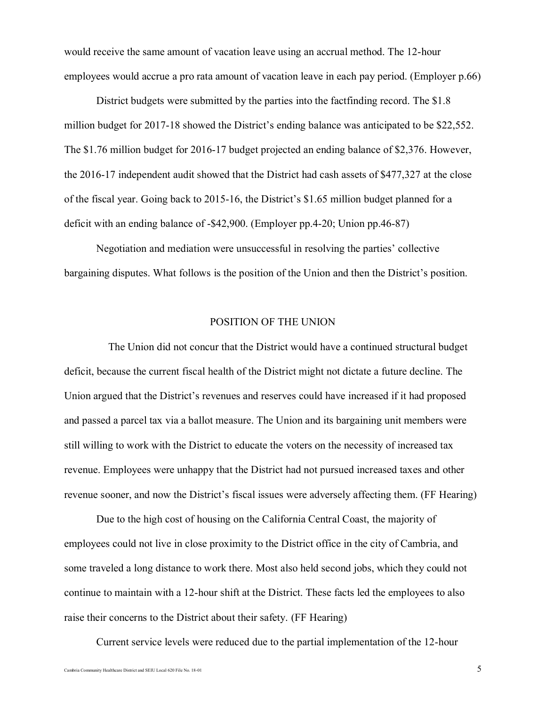would receive the same amount of vacation leave using an accrual method. The 12-hour employees would accrue a pro rata amount of vacation leave in each pay period. (Employer p.66)

District budgets were submitted by the parties into the factfinding record. The \$1.8 million budget for 2017-18 showed the District's ending balance was anticipated to be \$22,552. The \$1.76 million budget for 2016-17 budget projected an ending balance of \$2,376. However, the 2016-17 independent audit showed that the District had cash assets of \$477,327 at the close of the fiscal year. Going back to 2015-16, the District's \$1.65 million budget planned for a deficit with an ending balance of -\$42,900. (Employer pp.4-20; Union pp.46-87)

Negotiation and mediation were unsuccessful in resolving the parties' collective bargaining disputes. What follows is the position of the Union and then the District's position.

## POSITION OF THE UNION

The Union did not concur that the District would have a continued structural budget deficit, because the current fiscal health of the District might not dictate a future decline. The Union argued that the District's revenues and reserves could have increased if it had proposed and passed a parcel tax via a ballot measure. The Union and its bargaining unit members were still willing to work with the District to educate the voters on the necessity of increased tax revenue. Employees were unhappy that the District had not pursued increased taxes and other revenue sooner, and now the District's fiscal issues were adversely affecting them. (FF Hearing)

Due to the high cost of housing on the California Central Coast, the majority of employees could not live in close proximity to the District office in the city of Cambria, and some traveled a long distance to work there. Most also held second jobs, which they could not continue to maintain with a 12-hour shift at the District. These facts led the employees to also raise their concerns to the District about their safety. (FF Hearing)

Current service levels were reduced due to the partial implementation of the 12-hour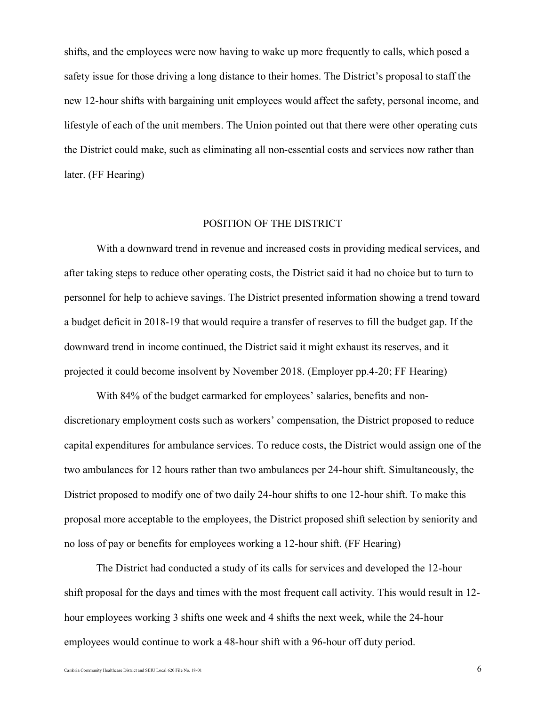shifts, and the employees were now having to wake up more frequently to calls, which posed a safety issue for those driving a long distance to their homes. The District's proposal to staff the new 12-hour shifts with bargaining unit employees would affect the safety, personal income, and lifestyle of each of the unit members. The Union pointed out that there were other operating cuts the District could make, such as eliminating all non-essential costs and services now rather than later. (FF Hearing)

## POSITION OF THE DISTRICT

With a downward trend in revenue and increased costs in providing medical services, and after taking steps to reduce other operating costs, the District said it had no choice but to turn to personnel for help to achieve savings. The District presented information showing a trend toward a budget deficit in 2018-19 that would require a transfer of reserves to fill the budget gap. If the downward trend in income continued, the District said it might exhaust its reserves, and it projected it could become insolvent by November 2018. (Employer pp.4-20; FF Hearing)

With 84% of the budget earmarked for employees' salaries, benefits and nondiscretionary employment costs such as workers' compensation, the District proposed to reduce capital expenditures for ambulance services. To reduce costs, the District would assign one of the two ambulances for 12 hours rather than two ambulances per 24-hour shift. Simultaneously, the District proposed to modify one of two daily 24-hour shifts to one 12-hour shift. To make this proposal more acceptable to the employees, the District proposed shift selection by seniority and no loss of pay or benefits for employees working a 12-hour shift. (FF Hearing)

The District had conducted a study of its calls for services and developed the 12-hour shift proposal for the days and times with the most frequent call activity. This would result in 12 hour employees working 3 shifts one week and 4 shifts the next week, while the 24-hour employees would continue to work a 48-hour shift with a 96-hour off duty period.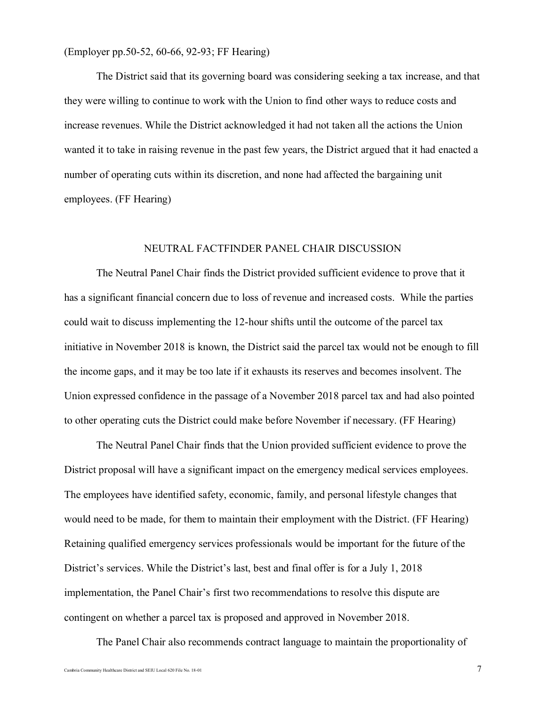(Employer pp.50-52, 60-66, 92-93; FF Hearing)

The District said that its governing board was considering seeking a tax increase, and that they were willing to continue to work with the Union to find other ways to reduce costs and increase revenues. While the District acknowledged it had not taken all the actions the Union wanted it to take in raising revenue in the past few years, the District argued that it had enacted a number of operating cuts within its discretion, and none had affected the bargaining unit employees. (FF Hearing)

# NEUTRAL FACTFINDER PANEL CHAIR DISCUSSION

The Neutral Panel Chair finds the District provided sufficient evidence to prove that it has a significant financial concern due to loss of revenue and increased costs. While the parties could wait to discuss implementing the 12-hour shifts until the outcome of the parcel tax initiative in November 2018 is known, the District said the parcel tax would not be enough to fill the income gaps, and it may be too late if it exhausts its reserves and becomes insolvent. The Union expressed confidence in the passage of a November 2018 parcel tax and had also pointed to other operating cuts the District could make before November if necessary. (FF Hearing)

The Neutral Panel Chair finds that the Union provided sufficient evidence to prove the District proposal will have a significant impact on the emergency medical services employees. The employees have identified safety, economic, family, and personal lifestyle changes that would need to be made, for them to maintain their employment with the District. (FF Hearing) Retaining qualified emergency services professionals would be important for the future of the District's services. While the District's last, best and final offer is for a July 1, 2018 implementation, the Panel Chair's first two recommendations to resolve this dispute are contingent on whether a parcel tax is proposed and approved in November 2018.

The Panel Chair also recommends contract language to maintain the proportionality of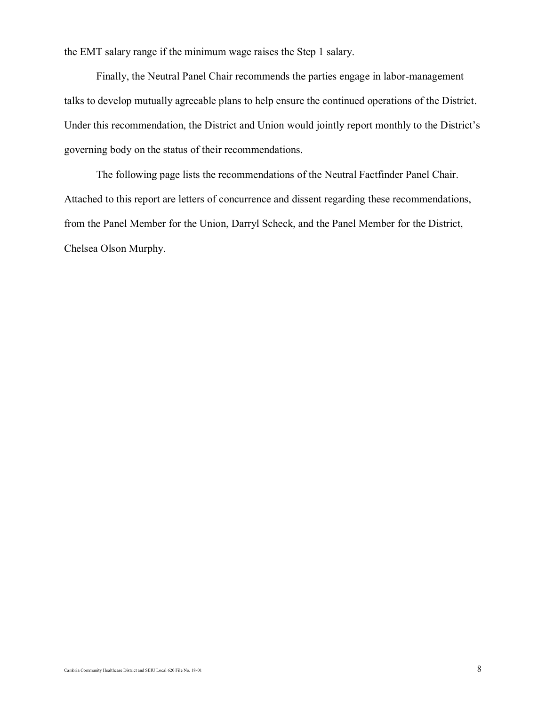the EMT salary range if the minimum wage raises the Step 1 salary.

Finally, the Neutral Panel Chair recommends the parties engage in labor-management talks to develop mutually agreeable plans to help ensure the continued operations of the District. Under this recommendation, the District and Union would jointly report monthly to the District's governing body on the status of their recommendations.

The following page lists the recommendations of the Neutral Factfinder Panel Chair. Attached to this report are letters of concurrence and dissent regarding these recommendations, from the Panel Member for the Union, Darryl Scheck, and the Panel Member for the District, Chelsea Olson Murphy.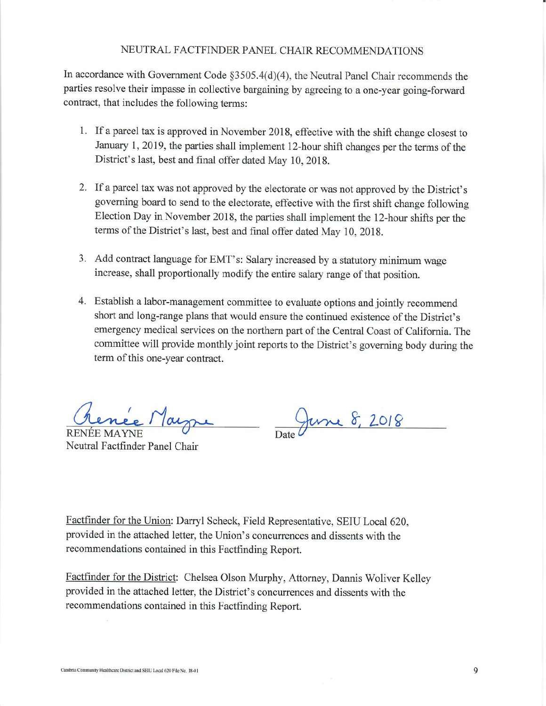# NEUTRAL FACTFINDER PANEL CHAIR RECOMMENDATIONS

In accordance with Government Code §3505.4(d)(4), the Neutral Panel Chair recommends the parties resolve their impasse in collective bargaining by agreeing to a one-year going-forward contract, that includes the following terms:

- 1. If a parcel tax is approved in November 2018, effective with the shift change closest to January 1, 2019, the parties shall implement 12-hour shift changes per the terms of the District's last, best and final offer dated May 10, 2018.
- 2. If a parcel tax was not approved by the electorate or was not approved by the District's governing board to send to the electorate, effective with the first shift change following Election Day in November 2018, the parties shall implement the 12-hour shifts per the terms of the District's last, best and final offer dated May 10, 2018.
- 3. Add contract language for EMT's: Salary increased by a statutory minimum wage increase, shall proportionally modify the entire salary range of that position.
- 4. Establish a labor-management committee to evaluate options and jointly recommend short and long-range plans that would ensure the continued existence of the District's emergency medical services on the northern part of the Central Coast of California. The committee will provide monthly joint reports to the District's governing body during the term of this one-year contract.

**RENÉE MAYNE** Neutral Factfinder Panel Chair

June 8, 2018

Factfinder for the Union: Darryl Scheck, Field Representative, SEIU Local 620, provided in the attached letter, the Union's concurrences and dissents with the recommendations contained in this Factfinding Report.

Factfinder for the District: Chelsea Olson Murphy, Attorney, Dannis Woliver Kelley provided in the attached letter, the District's concurrences and dissents with the recommendations contained in this Factfinding Report.

9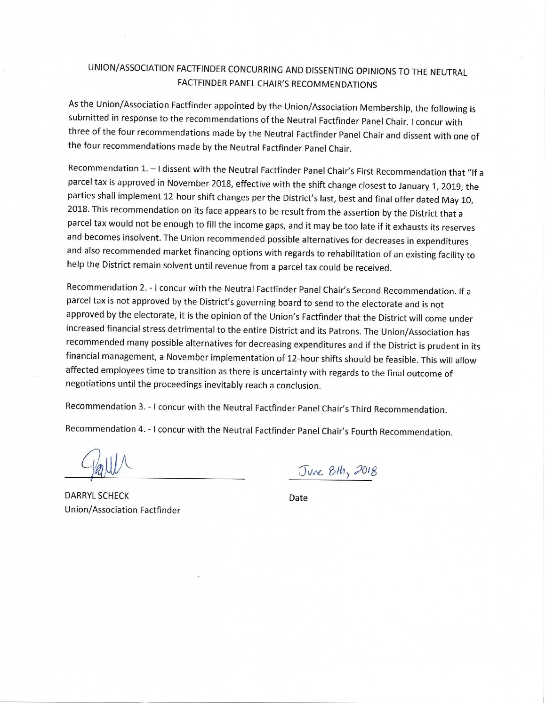# UNION/ASSOCIATION FACTFINDER CONCURRING AND DISSENTING OPINIONS TO THE NEUTRAL FACTFINDER PANEL CHAIR'S RECOMMENDATIONS

As the Union/Association Factfinder appointed by the Union/Association Membership, the following is submitted in response to the recommendations of the Neutral Factfinder Panel Chair. I concur with three of the four recommendations made by the Neutral Factfinder Panel Chair and dissent with one of the four recommendations made by the Neutral Factfinder Panel Chair.

Recommendation 1. - I dissent with the Neutral Factfinder Panel Chair's First Recommendation that "If a parcel tax is approved in November 2018, effective with the shift change closest to January 1, 2019, the parties shall implement 12-hour shift changes per the District's last, best and final offer dated May 10, 2018. This recommendation on its face appears to be result from the assertion by the District that a parcel tax would not be enough to fill the income gaps, and it may be too late if it exhausts its reserves and becomes insolvent. The Union recommended possible alternatives for decreases in expenditures and also recommended market financing options with regards to rehabilitation of an existing facility to help the District remain solvent until revenue from a parcel tax could be received.

Recommendation 2. - I concur with the Neutral Factfinder Panel Chair's Second Recommendation. If a parcel tax is not approved by the District's governing board to send to the electorate and is not approved by the electorate, it is the opinion of the Union's Factfinder that the District will come under increased financial stress detrimental to the entire District and its Patrons. The Union/Association has recommended many possible alternatives for decreasing expenditures and if the District is prudent in its financial management, a November implementation of 12-hour shifts should be feasible. This will allow affected employees time to transition as there is uncertainty with regards to the final outcome of negotiations until the proceedings inevitably reach a conclusion.

Recommendation 3. - I concur with the Neutral Factfinder Panel Chair's Third Recommendation.

Recommendation 4. - I concur with the Neutral Factfinder Panel Chair's Fourth Recommendation.

June 8th, 2018

**DARRYL SCHECK Union/Association Factfinder** 

Date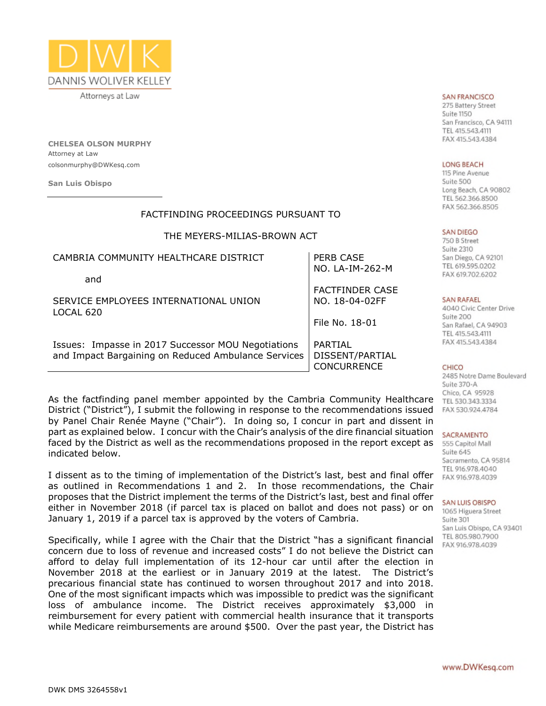

Attorneys at Law

**CHELSEA OLSON MURPHY** Attorney at Law colsonmurphy@DWKesq.com

**San Luis Obispo**

## FACTFINDING PROCEEDINGS PURSUANT TO

## THE MEYERS-MILIAS-BROWN ACT

| CAMBRIA COMMUNITY HEALTHCARE DISTRICT                                                                     | PERB CASE<br>NO. LA-IM-262-M                            |
|-----------------------------------------------------------------------------------------------------------|---------------------------------------------------------|
| and                                                                                                       | <b>FACTFINDER CASE</b>                                  |
| SERVICE EMPLOYEES INTERNATIONAL UNION<br>LOCAL 620                                                        | NO. 18-04-02FF                                          |
|                                                                                                           | File No. 18-01                                          |
| Issues: Impasse in 2017 Successor MOU Negotiations<br>and Impact Bargaining on Reduced Ambulance Services | <b>PARTIAL</b><br>DISSENT/PARTIAL<br><b>CONCURRENCE</b> |

As the factfinding panel member appointed by the Cambria Community Healthcare District ("District"), I submit the following in response to the recommendations issued by Panel Chair Renée Mayne ("Chair"). In doing so, I concur in part and dissent in part as explained below. I concur with the Chair's analysis of the dire financial situation faced by the District as well as the recommendations proposed in the report except as indicated below.

I dissent as to the timing of implementation of the District's last, best and final offer as outlined in Recommendations 1 and 2. In those recommendations, the Chair proposes that the District implement the terms of the District's last, best and final offer either in November 2018 (if parcel tax is placed on ballot and does not pass) or on January 1, 2019 if a parcel tax is approved by the voters of Cambria.

Specifically, while I agree with the Chair that the District "has a significant financial concern due to loss of revenue and increased costs" I do not believe the District can afford to delay full implementation of its 12-hour car until after the election in November 2018 at the earliest or in January 2019 at the latest. The District's precarious financial state has continued to worsen throughout 2017 and into 2018. One of the most significant impacts which was impossible to predict was the significant loss of ambulance income. The District receives approximately \$3,000 in reimbursement for every patient with commercial health insurance that it transports while Medicare reimbursements are around \$500. Over the past year, the District has

#### **SAN FRANCISCO**

275 Battery Street Suite 1150 San Francisco, CA 94111 TEL 415 543 4111 FAX 415.543.4384

#### **LONG BEACH**

115 Pine Avenue Suite 500 Long Beach, CA 90802 TEL 562.366.8500 FAX 562.366.8505

#### **SAN DIEGO**

750 B Street Suite 2310 San Diego, CA 92101 TEL 619.595.0202 FAX 619.702.6202

#### **SAN RAFAEL**

4040 Civic Center Drive Suite 200 San Rafael, CA 94903 TEL 415.543.4111 FAX 415.543.4384

#### CHICO

2485 Notre Dame Boulevard Suite 370-A Chico, CA 95928 TEL 530.343.3334 FAX 530.924.4784

#### SACRAMENTO

555 Capitol Mall Suite 645 Sacramento, CA 95814 TEL 916,978,4040 FAX 916.978.4039

#### **SAN LUIS OBISPO**

1065 Higuera Street Suite 301 San Luis Obispo, CA 93401 TEL 805.980.7900 FAX 916.978.4039